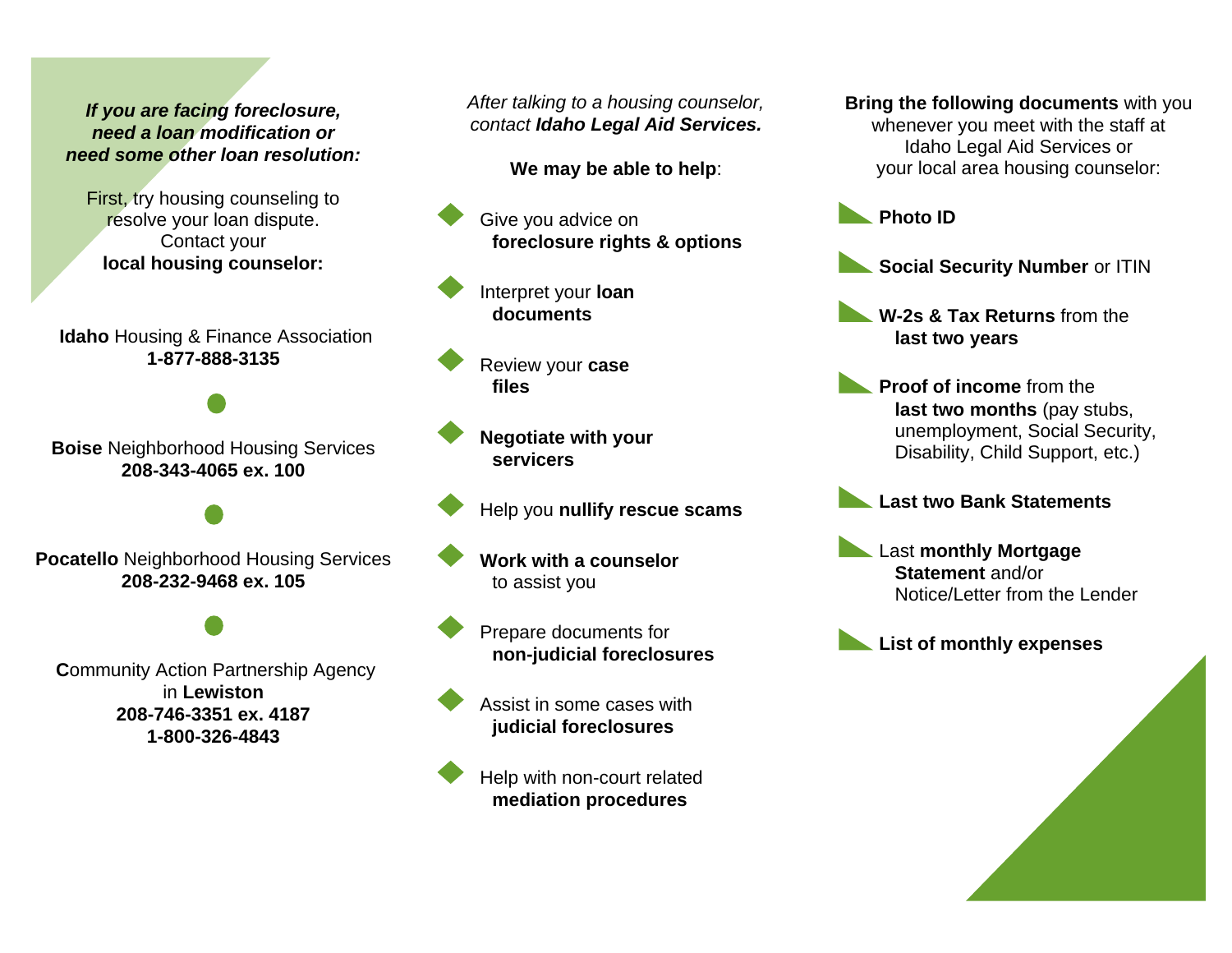# *If you are facing foreclosure, need a loan modification or need some other loan resolution:*

First, try housing counseling to resolve your loan dispute. Contact your **local housing counselor:**

**Idaho** Housing & Finance Association **1-877-888-3135**

**Boise** Neighborhood Housing Services **208-343-4065 ex. 100**

**Pocatello** Neighborhood Housing Services **208-232-9468 ex. 105**

**Community Action Partnership Agency** in **Lewiston 208-746-3351 ex. 4187 1-800-326-4843**

*After talking to a housing counselor, contact Idaho Legal Aid Services.*

**We may be able to help**:

Give you advice on **foreclosure rights & options**

Interpret your **loan documents**

 Review your **case files**

 **Negotiate with your servicers**

Help you **nullify rescue scams**

 **Work with a counselor** to assist you

Prepare documents for **non-judicial foreclosures**

 Assist in some cases with **judicial foreclosures**



**Help with non-court related mediation procedures**

**Bring the following documents** with you whenever you meet with the staff at Idaho Legal Aid Services or your local area housing counselor:



**Social Security Number** or ITIN

**W-2s & Tax Returns** from the **last two years**

**Proof of income** from the **last two months** (pay stubs, unemployment, Social Security, Disability, Child Support, etc.)

**Last two Bank Statements**

Last **monthly Mortgage Statement** and/or Notice/Letter from the Lender

**List of monthly expenses**